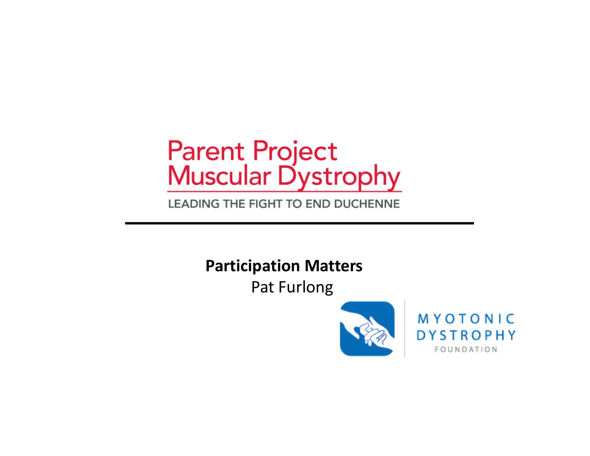# Parent Project<br>Muscular Dystrophy

LEADING THE FIGHT TO END DUCHENNE

**Participation Matters**

Pat Furlong



**MYOTONIC DYSTROPHY** FOUNDATION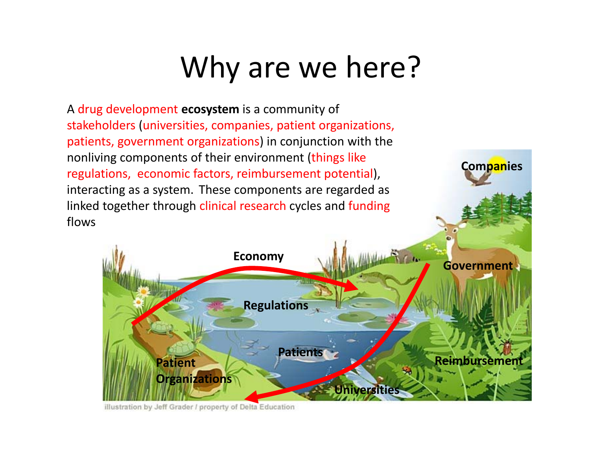### Why are we here?

A drug development **ecosystem** is a community of stakeholders (universities, companies, patient organizations, patients, government organizations) in conjunction with the nonliving components of their environment (things like regulations, economic factors, reimbursement potential), interacting as a system. These components are regarded as linked together through clinical research cycles and funding flows



**Companies**

illustration by Jeff Grader / property of Delta Education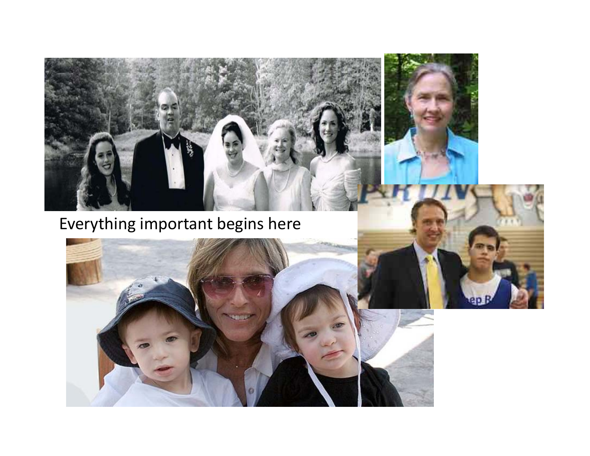

Everything important begins here



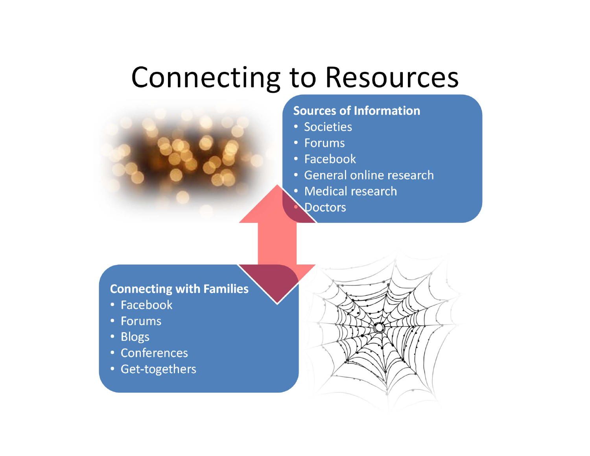#### Connecting to Resources



#### **Sources of Information**

- Societies
- Forums
- Facebook
- General online research
- Medical research
- $\bullet$ **N**octors

#### **Connecting with Families**

- Facebook
- Forums
- Blogs
- Conferences
- Get‐togethers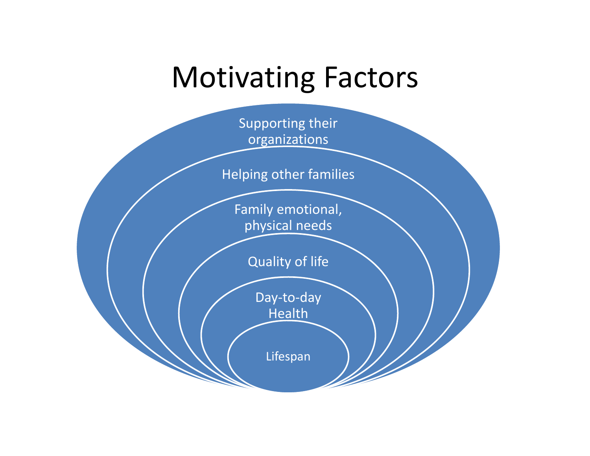#### Motivating Factors

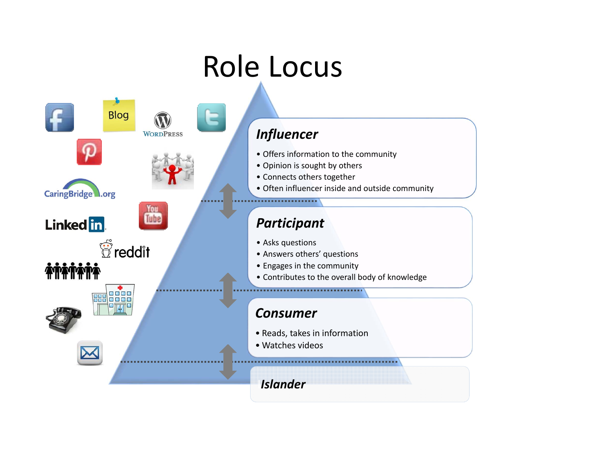## Role Locus

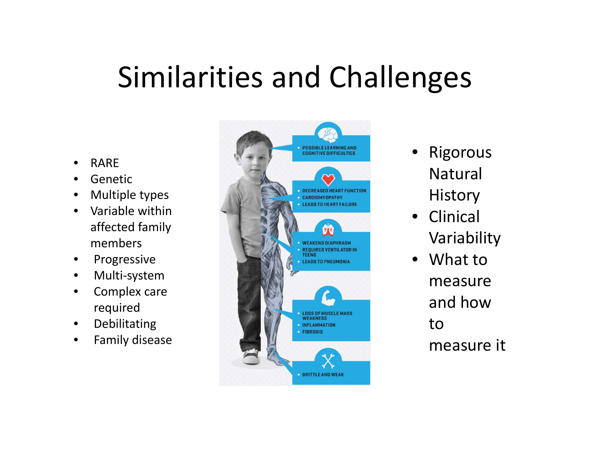#### Similarities and Challenges

- •RARE
- •Genetic
- $\bullet$ Multiple types
- $\bullet$  Variable withinaffected family members
- $\bullet$ Progressive
- $\bullet$ Multi‐system
- • Complex care required
- $\bullet$ Debilitating
- $\bullet$ Family disease



- • Rigorous Natural**History**
- $\bullet$ **Clinical** Variability
- What tomeasureand how tomeasure it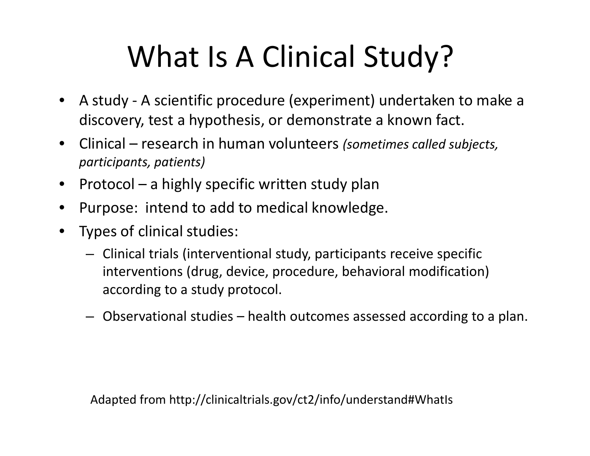# What Is A Clinical Study?

- $\bullet$  A study ‐ A scientific procedure (experiment) undertaken to make <sup>a</sup> discovery, test <sup>a</sup> hypothesis, or demonstrate <sup>a</sup> known fact.
- $\bullet$  Clinical – research in human volunteers *(sometimes called subjects, participants, patients)*
- $\bullet$  $\bullet$  Protocol – a highly specific written study plan
- $\bullet$ Purpose: intend to add to medical knowledge.
- $\bullet$  Types of clinical studies:
	- Clinical trials (interventional study, participants receive specific interventions (drug, device, procedure, behavioral modification) according to <sup>a</sup> study protocol.
	- Observational studies health outcomes assessed according to <sup>a</sup> plan.

Adapted from http://clinicaltrials.gov/ct2/info/understand#WhatIs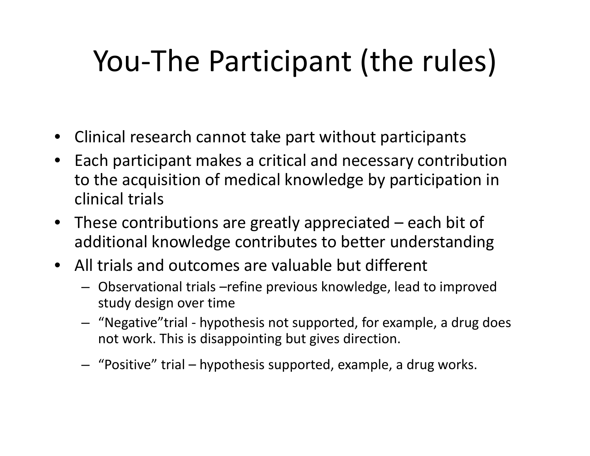# You‐The Participant (the rules)

- Clinical research cannot take part without participants
- Each participant makes <sup>a</sup> critical and necessary contribution to the acquisition of medical knowledge by participation in clinical trials
- These contributions are greatly appreciated each bit of additional knowledge contributes to better understanding
- All trials and outcomes are valuable but different
	- Observational trials –refine previous knowledge, lead to improved study design over time
	- "Negative"trial ‐ hypothesis not supported, for example, <sup>a</sup> drug does not work. This is disappointing but gives direction.
	- "Positive" trial hypothesis supported, example, <sup>a</sup> drug works.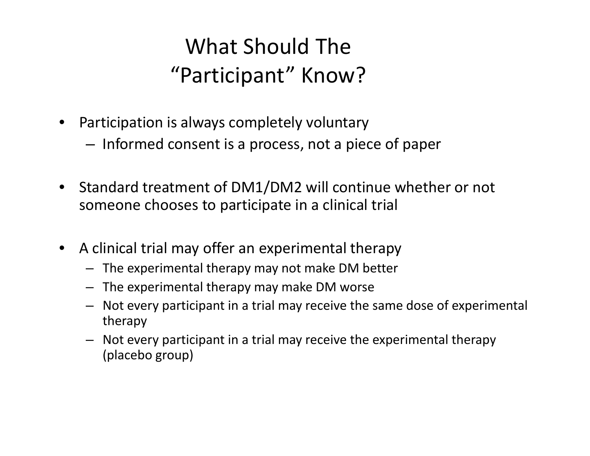#### What Should The "Participant" Know?

- $\bullet$  Participation is always completely voluntary
	- – $-$  Informed consent is a process, not a piece of paper
- $\bullet$ • Standard treatment of DM1/DM2 will continue whether or not someone chooses to participate in <sup>a</sup> clinical trial
- $\bullet$  A clinical trial may offer an experimental therapy
	- The experimental therapy may not make DM better
	- The experimental therapy may make DM worse
	- Not every participant in <sup>a</sup> trial may receive the same dose of experimental therapy
	- Not every participant in <sup>a</sup> trial may receive the experimental therapy (placebo group)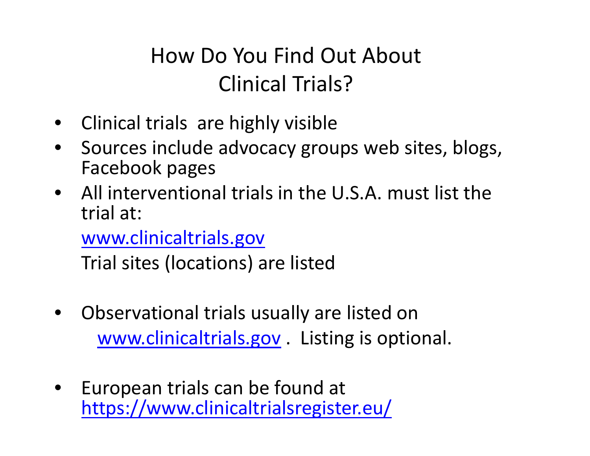#### How Do You Find Out About Clinical Trials?

- Clinical trials are highly visible
- $\bullet$ • Sources include advocacy groups web sites, blogs, Facebook pages
- All interventional trials in the U.S.A. must list the trial at:

www.clinicaltrials.gov

Trial sites (locations) are listed

- • Observational trials usually are listed on www.clinicaltrials.gov . Listing is optional.
- $\bullet$  European trials can be found at https://www.clinicaltrialsregister.eu/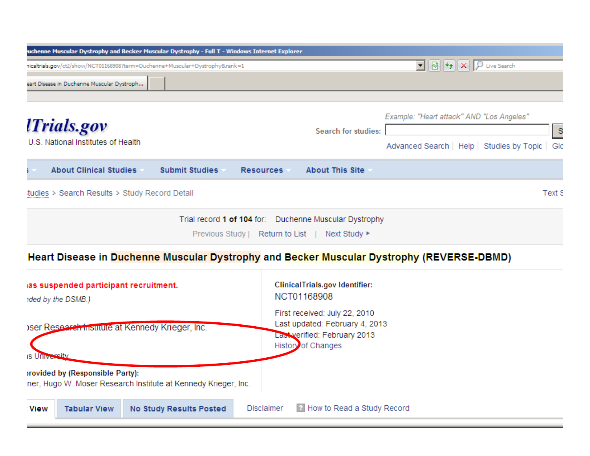| uchenne Muscular Dystrophy and Becker Muscular Dystrophy - Full T - Windows Internet Explorer |                       |                  |                                                        |                                                    |  |
|-----------------------------------------------------------------------------------------------|-----------------------|------------------|--------------------------------------------------------|----------------------------------------------------|--|
| nicaltrials.gov/ct2/show/NCT01168908?term=Duchenne+Muscular+Dystrophy&rank=1                  |                       |                  |                                                        | <u>र</u> ⊠ +<br>Live Search<br>◡                   |  |
| eart Disease in Duchenne Muscular Dystroph                                                    |                       |                  |                                                        |                                                    |  |
|                                                                                               |                       |                  |                                                        |                                                    |  |
|                                                                                               |                       |                  | <b>Search for studies:</b>                             | Example: "Heart attack" AND "Los Angeles"          |  |
| <i><b>Trials.gov</b></i>                                                                      |                       |                  |                                                        | <sub>S</sub>                                       |  |
| U.S. National Institutes of Health                                                            |                       |                  |                                                        | Advanced Search   Help   Studies by Topic  <br>Glo |  |
| <b>About Clinical Studies</b>                                                                 | <b>Submit Studies</b> | <b>Resources</b> | <b>About This Site</b>                                 |                                                    |  |
| Text S<br>itudies > Search Results > Study Record Detail                                      |                       |                  |                                                        |                                                    |  |
|                                                                                               |                       |                  | Trial record 1 of 104 for: Duchenne Muscular Dystrophy |                                                    |  |
| Previous Study   Return to List  <br>Next Study                                               |                       |                  |                                                        |                                                    |  |

#### Heart Disease in Duchenne Muscular Dystrophy and Becker Muscular Dystrophy (REVERSE-DBMD)

| ias suspended participant recruitment.<br>nded by the DSMB.)                                       | ClinicalTrials.gov Identifier:<br>NCT01168908                                                                                |  |  |  |
|----------------------------------------------------------------------------------------------------|------------------------------------------------------------------------------------------------------------------------------|--|--|--|
| oser Research institute at Kennedy Krieger, Inc.<br>reitv<br><b>IS Univers</b>                     | First received: July 22, 2010<br>Last updated: February 4, 2013<br>Last verified: February 2013<br><b>History of Changes</b> |  |  |  |
| provided by (Responsible Party):<br>ner, Hugo W. Moser Research Institute at Kennedy Krieger, Inc. |                                                                                                                              |  |  |  |
| : View<br><b>Tabular View</b><br><b>No Study Results Posted</b>                                    | 2 How to Read a Study Record<br><b>Disclaimer</b>                                                                            |  |  |  |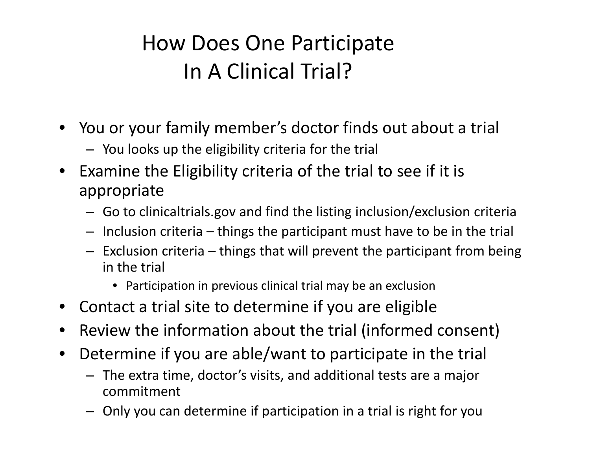#### How Does One Participate In A Clinical Trial?

- You or your family member's doctor finds out about <sup>a</sup> trial
	- You looks up the eligibility criteria for the trial
- • $\bullet$  Examine the Eligibility criteria of the trial to see if it is appropriate
	- Go to clinicaltrials.gov and find the listing inclusion/exclusion criteria
	- Inclusion criteria things the participant must have to be in the trial
	- Exclusion criteria things that will prevent the participant from being in the trial
		- Participation in previous clinical trial may be an exclusion
- •Contact a trial site to determine if you are eligible
- •Review the information about the trial (informed consent)
- $\bullet$  Determine if you are able/want to participate in the trial
	- The extra time, doctor's visits, and additional tests are <sup>a</sup> major commitment
	- Only you can determine if participation in <sup>a</sup> trial is right for you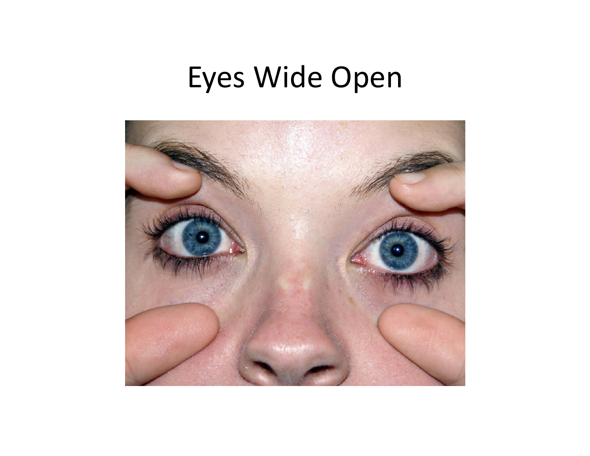#### Eyes Wide Open

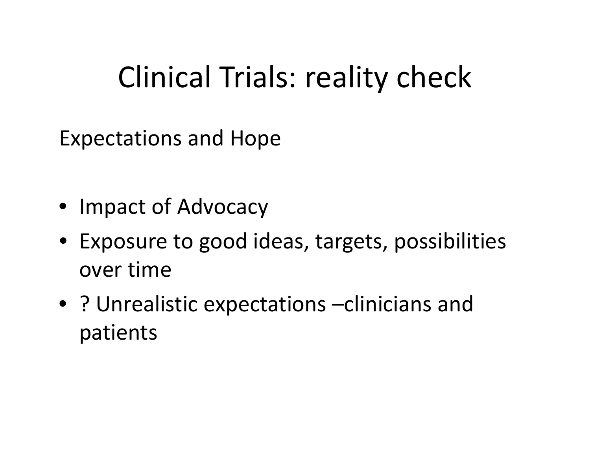### Clinical Trials: reality check

Expectations and Hope

- Impact of Advocacy
- Exposure to good ideas, targets, possibilities over time
- ? Unrealistic expectations –clinicians and patients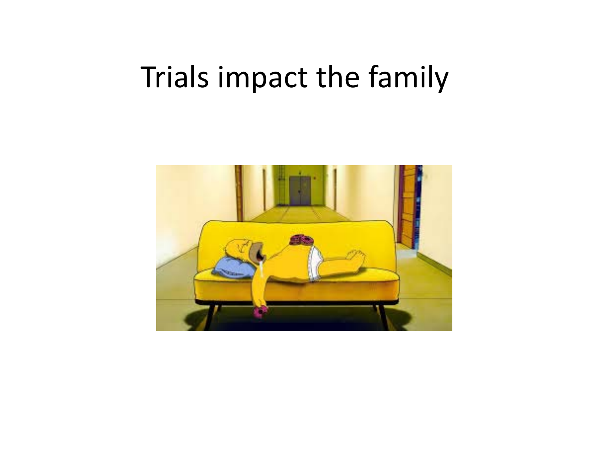#### Trials impact the family

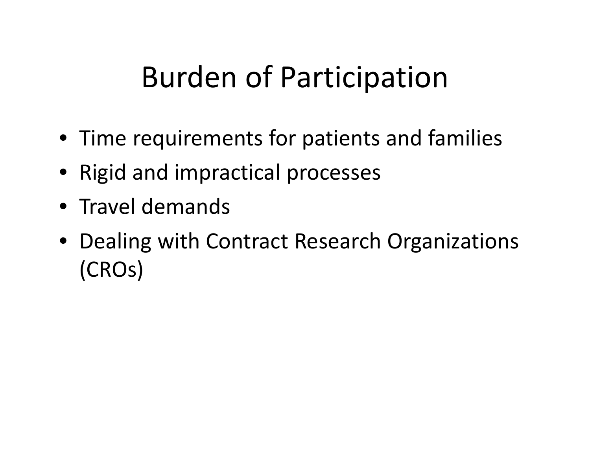### Burden of Participation

- Time requirements for patients and families
- Rigid and impractical processes
- Travel demands
- Dealing with Contract Research Organizations (CROs)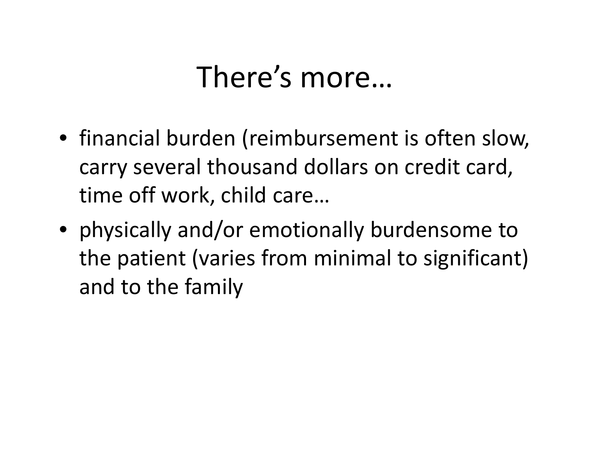### There's more…

- financial burden (reimbursement is often slow, carry several thousand dollars on credit card, time off work, child care…
- physically and/or emotionally burdensome to the patient (varies from minimal to significant) and to the family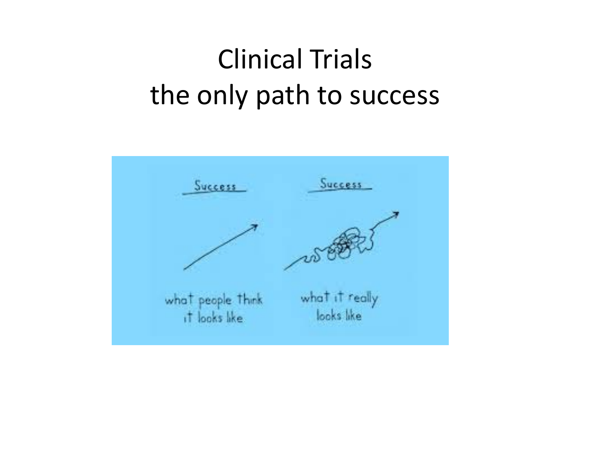#### Clinical Trialsthe only path to success

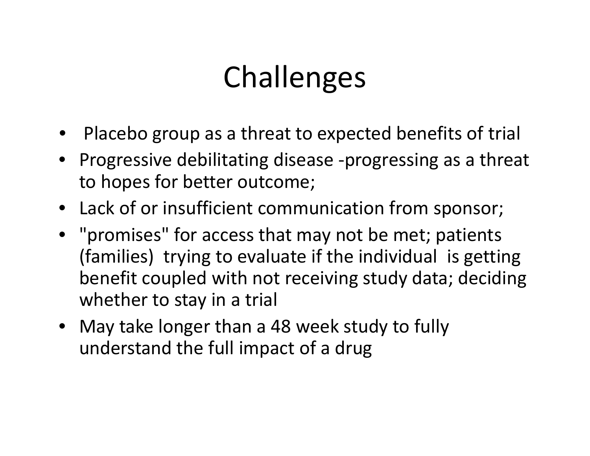## Challenges

- •Placebo group as <sup>a</sup> threat to expected benefits of trial
- Progressive debilitating disease ‐progressing as <sup>a</sup> threat to hopes for better outcome;
- Lack of or insufficient communication from sponsor;
- "promises" for access that may not be met; patients (families) trying to evaluate if the individual is getting benefit coupled with not receiving study data; deciding whether to stay in <sup>a</sup> trial
- May take longer than <sup>a</sup> 48 week study to fully understand the full impact of <sup>a</sup> drug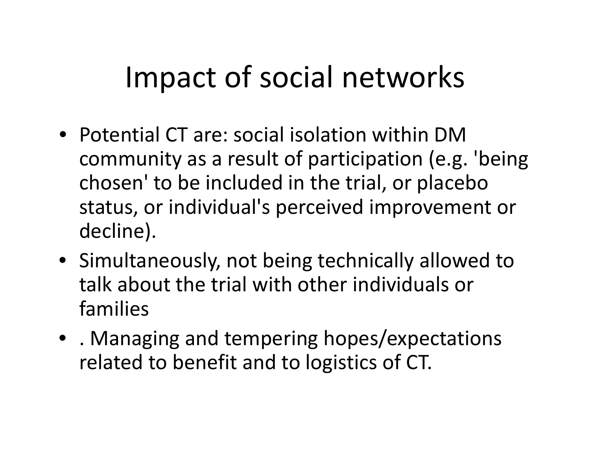### Impact of social networks

- Potential CT are: social isolation within DMcommunity as <sup>a</sup> result of participation (e.g. 'being chosen' to be included in the trial, or placebo status, or individual's perceived improvement or decline).
- Simultaneously, not being technically allowed to talk about the trial with other individuals or families
- . Managing and tempering hopes/expectations related to benefit and to logistics of CT.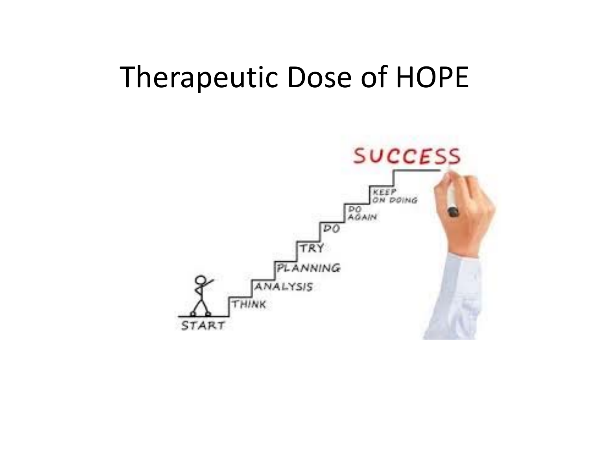#### Therapeutic Dose of HOPE

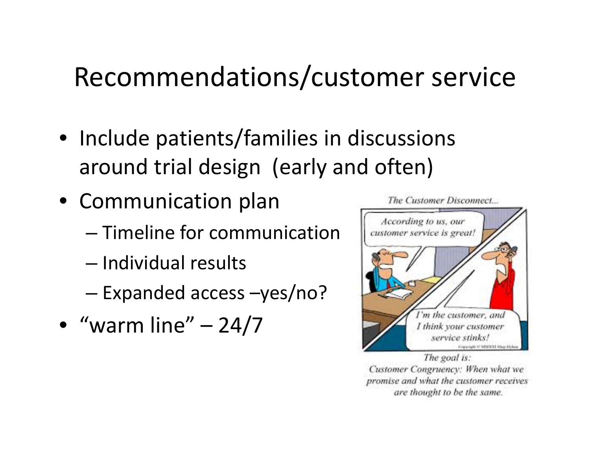#### Recommendations/customer service

- Include patients/families in discussions around trial design (early and often)
- Communication plan
	- Timeline for communication
	- Individual results
	- –Expanded access –yes/no?
- "warm line" 24/7



The Customer Disconnect...

The goal is: Customer Congruency: When what we promise and what the customer receives are thought to be the same.